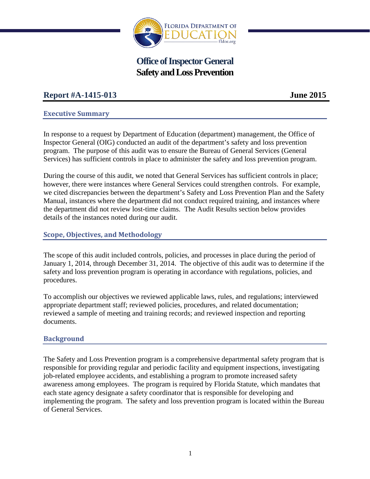

# **Office of Inspector General Safety and Loss Prevention**

# **Report #A-1415-013 June 2015**

#### **Executive Summary**

In response to a request by Department of Education (department) management, the Office of Inspector General (OIG) conducted an audit of the department's safety and loss prevention program. The purpose of this audit was to ensure the Bureau of General Services (General Services) has sufficient controls in place to administer the safety and loss prevention program.

During the course of this audit, we noted that General Services has sufficient controls in place; however, there were instances where General Services could strengthen controls. For example, we cited discrepancies between the department's Safety and Loss Prevention Plan and the Safety Manual, instances where the department did not conduct required training, and instances where the department did not review lost-time claims. The Audit Results section below provides details of the instances noted during our audit.

#### **Scope, Objectives, and Methodology**

The scope of this audit included controls, policies, and processes in place during the period of January 1, 2014, through December 31, 2014. The objective of this audit was to determine if the safety and loss prevention program is operating in accordance with regulations, policies, and procedures.

To accomplish our objectives we reviewed applicable laws, rules, and regulations; interviewed appropriate department staff; reviewed policies, procedures, and related documentation; reviewed a sample of meeting and training records; and reviewed inspection and reporting documents.

#### **Background**

The Safety and Loss Prevention program is a comprehensive departmental safety program that is responsible for providing regular and periodic facility and equipment inspections, investigating job-related employee accidents, and establishing a program to promote increased safety awareness among employees. The program is required by Florida Statute, which mandates that each state agency designate a safety coordinator that is responsible for developing and implementing the program. The safety and loss prevention program is located within the Bureau of General Services.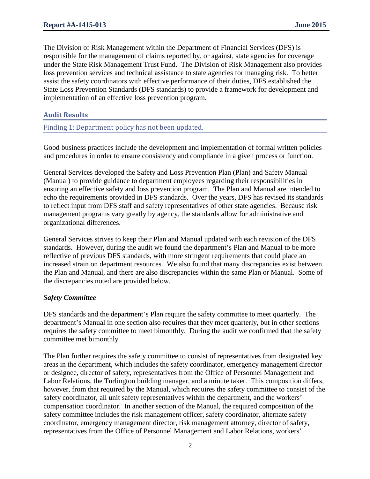The Division of Risk Management within the Department of Financial Services (DFS) is responsible for the management of claims reported by, or against, state agencies for coverage under the State Risk Management Trust Fund. The Division of Risk Management also provides loss prevention services and technical assistance to state agencies for managing risk. To better assist the safety coordinators with effective performance of their duties, DFS established the State Loss Prevention Standards (DFS standards) to provide a framework for development and implementation of an effective loss prevention program.

#### **Audit Results**

Finding 1: Department policy has not been updated.

Good business practices include the development and implementation of formal written policies and procedures in order to ensure consistency and compliance in a given process or function.

General Services developed the Safety and Loss Prevention Plan (Plan) and Safety Manual (Manual) to provide guidance to department employees regarding their responsibilities in ensuring an effective safety and loss prevention program. The Plan and Manual are intended to echo the requirements provided in DFS standards. Over the years, DFS has revised its standards to reflect input from DFS staff and safety representatives of other state agencies. Because risk management programs vary greatly by agency, the standards allow for administrative and organizational differences.

General Services strives to keep their Plan and Manual updated with each revision of the DFS standards. However, during the audit we found the department's Plan and Manual to be more reflective of previous DFS standards, with more stringent requirements that could place an increased strain on department resources. We also found that many discrepancies exist between the Plan and Manual, and there are also discrepancies within the same Plan or Manual. Some of the discrepancies noted are provided below.

#### *Safety Committee*

DFS standards and the department's Plan require the safety committee to meet quarterly. The department's Manual in one section also requires that they meet quarterly, but in other sections requires the safety committee to meet bimonthly. During the audit we confirmed that the safety committee met bimonthly.

The Plan further requires the safety committee to consist of representatives from designated key areas in the department, which includes the safety coordinator, emergency management director or designee, director of safety, representatives from the Office of Personnel Management and Labor Relations, the Turlington building manager, and a minute taker. This composition differs, however, from that required by the Manual, which requires the safety committee to consist of the safety coordinator, all unit safety representatives within the department, and the workers' compensation coordinator. In another section of the Manual, the required composition of the safety committee includes the risk management officer, safety coordinator, alternate safety coordinator, emergency management director, risk management attorney, director of safety, representatives from the Office of Personnel Management and Labor Relations, workers'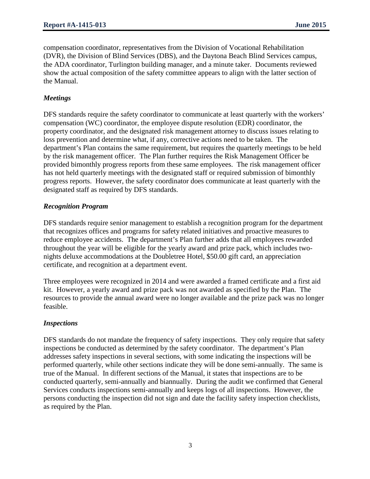compensation coordinator, representatives from the Division of Vocational Rehabilitation (DVR), the Division of Blind Services (DBS), and the Daytona Beach Blind Services campus, the ADA coordinator, Turlington building manager, and a minute taker. Documents reviewed show the actual composition of the safety committee appears to align with the latter section of the Manual.

## *Meetings*

DFS standards require the safety coordinator to communicate at least quarterly with the workers' compensation (WC) coordinator, the employee dispute resolution (EDR) coordinator, the property coordinator, and the designated risk management attorney to discuss issues relating to loss prevention and determine what, if any, corrective actions need to be taken. The department's Plan contains the same requirement, but requires the quarterly meetings to be held by the risk management officer. The Plan further requires the Risk Management Officer be provided bimonthly progress reports from these same employees. The risk management officer has not held quarterly meetings with the designated staff or required submission of bimonthly progress reports. However, the safety coordinator does communicate at least quarterly with the designated staff as required by DFS standards.

#### *Recognition Program*

DFS standards require senior management to establish a recognition program for the department that recognizes offices and programs for safety related initiatives and proactive measures to reduce employee accidents. The department's Plan further adds that all employees rewarded throughout the year will be eligible for the yearly award and prize pack, which includes twonights deluxe accommodations at the Doubletree Hotel, \$50.00 gift card, an appreciation certificate, and recognition at a department event.

Three employees were recognized in 2014 and were awarded a framed certificate and a first aid kit. However, a yearly award and prize pack was not awarded as specified by the Plan. The resources to provide the annual award were no longer available and the prize pack was no longer feasible.

#### *Inspections*

DFS standards do not mandate the frequency of safety inspections. They only require that safety inspections be conducted as determined by the safety coordinator. The department's Plan addresses safety inspections in several sections, with some indicating the inspections will be performed quarterly, while other sections indicate they will be done semi-annually. The same is true of the Manual. In different sections of the Manual, it states that inspections are to be conducted quarterly, semi-annually and biannually. During the audit we confirmed that General Services conducts inspections semi-annually and keeps logs of all inspections. However, the persons conducting the inspection did not sign and date the facility safety inspection checklists, as required by the Plan.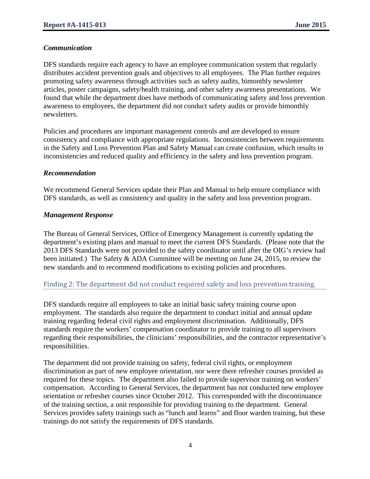### *Communication*

DFS standards require each agency to have an employee communication system that regularly distributes accident prevention goals and objectives to all employees. The Plan further requires promoting safety awareness through activities such as safety audits, bimonthly newsletter articles, poster campaigns, safety/health training, and other safety awareness presentations. We found that while the department does have methods of communicating safety and loss prevention awareness to employees, the department did not conduct safety audits or provide bimonthly newsletters.

Policies and procedures are important management controls and are developed to ensure consistency and compliance with appropriate regulations. Inconsistencies between requirements in the Safety and Loss Prevention Plan and Safety Manual can create confusion, which results in inconsistencies and reduced quality and efficiency in the safety and loss prevention program.

#### *Recommendation*

We recommend General Services update their Plan and Manual to help ensure compliance with DFS standards, as well as consistency and quality in the safety and loss prevention program.

#### *Management Response*

The Bureau of General Services, Office of Emergency Management is currently updating the department's existing plans and manual to meet the current DFS Standards. (Please note that the 2013 DFS Standards were not provided to the safety coordinator until after the OIG's review had been initiated.) The Safety & ADA Committee will be meeting on June 24, 2015, to review the new standards and to recommend modifications to existing policies and procedures.

#### Finding 2: The department did not conduct required safety and loss prevention training.

DFS standards require all employees to take an initial basic safety training course upon employment. The standards also require the department to conduct initial and annual update training regarding federal civil rights and employment discrimination. Additionally, DFS standards require the workers' compensation coordinator to provide training to all supervisors regarding their responsibilities, the clinicians' responsibilities, and the contractor representative's responsibilities.

The department did not provide training on safety, federal civil rights, or employment discrimination as part of new employee orientation, nor were there refresher courses provided as required for these topics. The department also failed to provide supervisor training on workers' compensation. According to General Services, the department has not conducted new employee orientation or refresher courses since October 2012. This corresponded with the discontinuance of the training section, a unit responsible for providing training to the department. General Services provides safety trainings such as "lunch and learns" and floor warden training, but these trainings do not satisfy the requirements of DFS standards.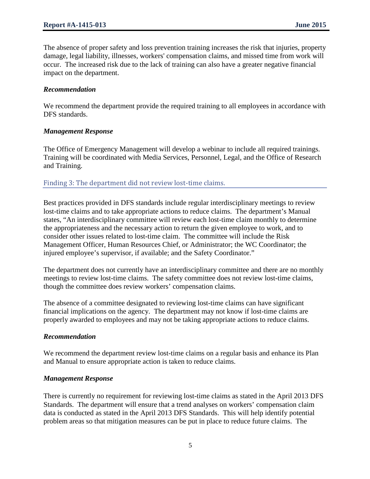The absence of proper safety and loss prevention training increases the risk that injuries, property damage, legal liability, illnesses, workers' compensation claims, and missed time from work will occur. The increased risk due to the lack of training can also have a greater negative financial impact on the department.

#### *Recommendation*

We recommend the department provide the required training to all employees in accordance with DFS standards.

#### *Management Response*

The Office of Emergency Management will develop a webinar to include all required trainings. Training will be coordinated with Media Services, Personnel, Legal, and the Office of Research and Training.

#### Finding 3: The department did not review lost-time claims.

Best practices provided in DFS standards include regular interdisciplinary meetings to review lost-time claims and to take appropriate actions to reduce claims. The department's Manual states, "An interdisciplinary committee will review each lost-time claim monthly to determine the appropriateness and the necessary action to return the given employee to work, and to consider other issues related to lost-time claim. The committee will include the Risk Management Officer, Human Resources Chief, or Administrator; the WC Coordinator; the injured employee's supervisor, if available; and the Safety Coordinator."

The department does not currently have an interdisciplinary committee and there are no monthly meetings to review lost-time claims. The safety committee does not review lost-time claims, though the committee does review workers' compensation claims.

The absence of a committee designated to reviewing lost-time claims can have significant financial implications on the agency. The department may not know if lost-time claims are properly awarded to employees and may not be taking appropriate actions to reduce claims.

#### *Recommendation*

We recommend the department review lost-time claims on a regular basis and enhance its Plan and Manual to ensure appropriate action is taken to reduce claims.

#### *Management Response*

There is currently no requirement for reviewing lost-time claims as stated in the April 2013 DFS Standards. The department will ensure that a trend analyses on workers' compensation claim data is conducted as stated in the April 2013 DFS Standards. This will help identify potential problem areas so that mitigation measures can be put in place to reduce future claims. The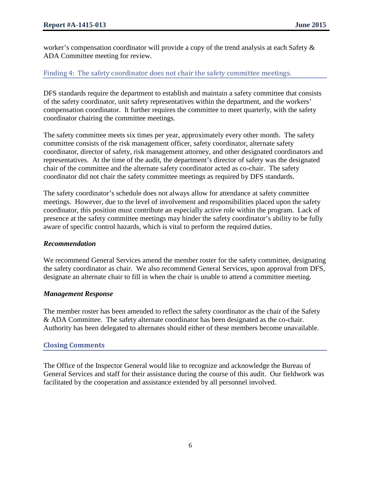worker's compensation coordinator will provide a copy of the trend analysis at each Safety & ADA Committee meeting for review.

#### Finding 4: The safety coordinator does not chair the safety committee meetings.

DFS standards require the department to establish and maintain a safety committee that consists of the safety coordinator, unit safety representatives within the department, and the workers' compensation coordinator. It further requires the committee to meet quarterly, with the safety coordinator chairing the committee meetings.

The safety committee meets six times per year, approximately every other month. The safety committee consists of the risk management officer, safety coordinator, alternate safety coordinator, director of safety, risk management attorney, and other designated coordinators and representatives. At the time of the audit, the department's director of safety was the designated chair of the committee and the alternate safety coordinator acted as co-chair. The safety coordinator did not chair the safety committee meetings as required by DFS standards.

The safety coordinator's schedule does not always allow for attendance at safety committee meetings. However, due to the level of involvement and responsibilities placed upon the safety coordinator, this position must contribute an especially active role within the program. Lack of presence at the safety committee meetings may hinder the safety coordinator's ability to be fully aware of specific control hazards, which is vital to perform the required duties.

#### *Recommendation*

We recommend General Services amend the member roster for the safety committee, designating the safety coordinator as chair. We also recommend General Services, upon approval from DFS, designate an alternate chair to fill in when the chair is unable to attend a committee meeting.

#### *Management Response*

The member roster has been amended to reflect the safety coordinator as the chair of the Safety & ADA Committee. The safety alternate coordinator has been designated as the co-chair. Authority has been delegated to alternates should either of these members become unavailable.

#### **Closing Comments**

The Office of the Inspector General would like to recognize and acknowledge the Bureau of General Services and staff for their assistance during the course of this audit. Our fieldwork was facilitated by the cooperation and assistance extended by all personnel involved.